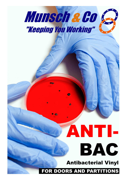

œ.

# ANTI-BAC

Antibacterial Vinyl

FOR DOORS AND PARTITIONS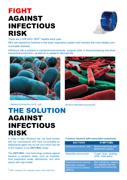#### FIGHT AGAINST INFECTIOUS RISK



There are  $3,000,000+DRS^{(1)}$  deaths each year.

98% are caused by bacteria in the lower respiratory system and remains the most deadly communicable disease.

Infectious risk is present in industrial environments, surgical units, in food-processing and pharmaceutical production, as well as in research laboratories.



Bacteria Escherichia coli (E. coli) Bacteria Klebsiella pneumoniae



#### THE SOLUTION AGAINST INFECTIOUS RISK

In order to fight infectious risk, we have worked with our manufacturer who have incorporated an antibacterial agent into its soft vinyl which has led to the creation of our ANTI**-**BAC range.

The ANTI**-**BAC vinyl technology protects against bacteria in sensitive areas, such as hospitals, food preparation areas, laboratories, and other places with high footfall.

#### Common bacteria with associated symptoms:

| <b>BACTERIA</b>                                                                           | <b>SYMPTOMS</b>                                                            |
|-------------------------------------------------------------------------------------------|----------------------------------------------------------------------------|
| Escherichia coli (E. coli)                                                                | Severe diarrhoea and<br>abdominal cramps.                                  |
| Klebsiella pneumoniae                                                                     | Cough, fever, shaking,<br>chills, chest pains.                             |
| Staphylococcus aureus/<br><b>Methicillin-resistant</b><br>Staphylococcus aureus<br>(MRSA) | Skin infections, respira-<br>tory disease and can<br>cause food poisoning. |

 $<sup>(1)</sup> DRS = Disease of the respiratory system. *WHO Data 2018*$ </sup>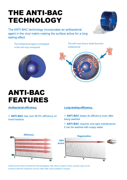### THE ANTI-BAC TECHNOLOGY

The ANTI-BAC technology incorporates an antibacterial agent in the vinyl matrix making the surface active for a long lasting effect.

The antibacterial agent is entrapped in the soft vinyl compound.



The soft vinyl strip or sheet becomes antibacterial



### ANTI-BAC FEATURES

Antibacterial efficiency.

 ANTI**-**BAC has over 99.9% efficiency on most bacteria.

#### Long**-**lasting efficiency.

 ANTI**-**BAC keeps its efficiency even after being washed.

 ANTI**-**BAC requires only light maintenance, it can be washed with soapy water.



Tested by the Instut de Recherche Microbiologique, IRM, Mitry-Compans, France, during 2 years of use. Conforms with ISO 22196:2011 and JIS Z 2801:2000. Study available on request.

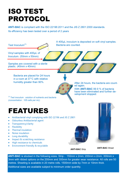### ISO TEST PROTOCOL

ANTI**-**BAC is compliant with the ISO 22196:2011 and the JIS Z 2801:2000 standards. Its efficiency has been tested over a period of 2 years



ANTI**-**BAC is stocked in the following sizes. Strip - 150mm x 2mm, 200mm x 2mm, 300mm x 3mm with ribbed options on the 200mm and 300mm for greater wear resistance. All rolls are 50 metres. Sheeting is available in 20 metre rolls, 1500mm wide by 7mm or 10mm thick. Additional sizes are available subject to minimum order quantity.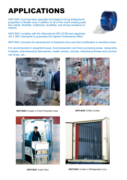## APPLICATIONS

ANTI-BAC vinyl has been specially formulated to bring antibacterial properties to flexible vinyl in addition to all of the vinyl's existing qualities (clarity, flexibility, brightness, durability, and strong resistance to impact).

ANTI-BAC complies with the International ISO 22196 and Japanese JIS Z 2801 standards to guarantee the highest Antibacterial effect.



ANTI-BAC prevents the development of bacterial niche and their proliferation in sensitive areas.

It is recommended in slaughterhouses, food preparation and food processing areas, restaurants, hospitals, pharmaceutical laboratories, health centres, schools, industrial premises and commercial shops, etc…



ANTI**-**BAC Curtain in Food Production Area ANTI**-**BAC Chiller Curtain







ANTI**-**BAC Crash Door ANTI**-**BAC Curtain in Refrigerated Lorry